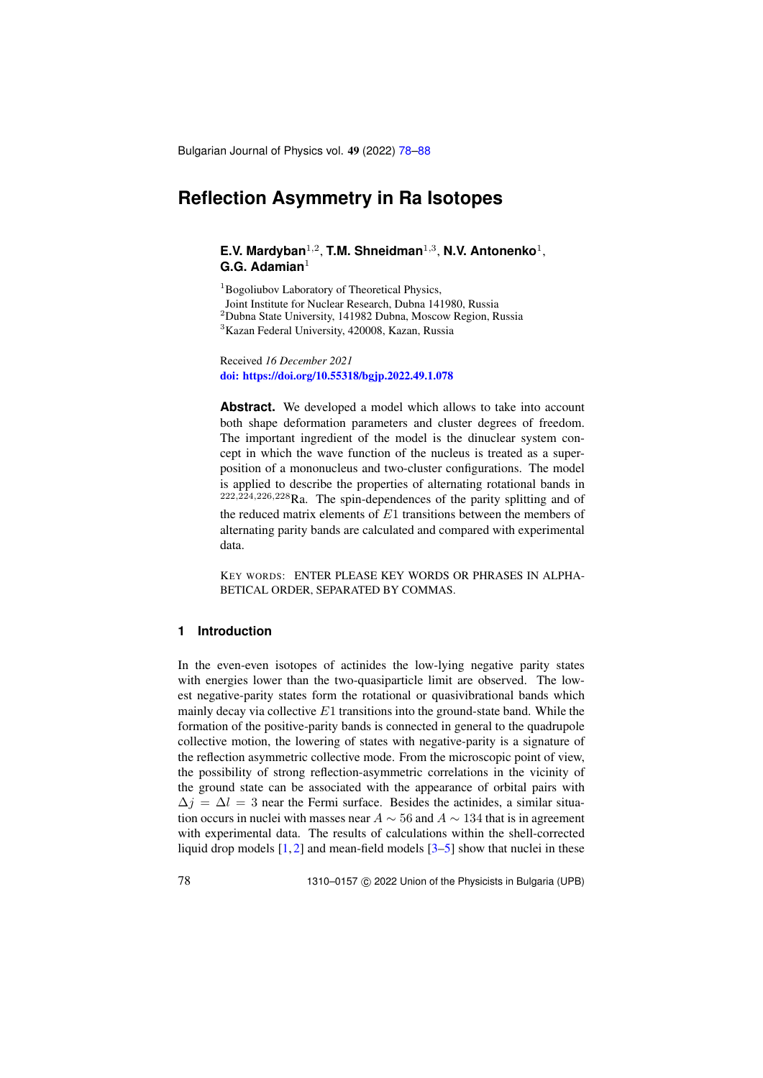Bulgarian Journal of Physics vol. 49 (2022) [78](#page-0-0)[–88](#page-9-0)

# <span id="page-0-0"></span>**Reflection Asymmetry in Ra Isotopes**

## E.V. Mardyban<sup>1,2</sup>, T.M. Shneidman<sup>1,3</sup>, N.V. Antonenko<sup>1</sup>, **G.G. Adamian**<sup>1</sup>

<sup>1</sup>Bogoliubov Laboratory of Theoretical Physics,

Joint Institute for Nuclear Research, Dubna 141980, Russia

<sup>2</sup>Dubna State University, 141982 Dubna, Moscow Region, Russia

<sup>3</sup>Kazan Federal University, 420008, Kazan, Russia

Received *16 December 2021* [doi: https://doi.org/10.55318/bgjp.2022.49.1.078](https://doi.org/10.55318/bgjp.2022.49.1.078)

**Abstract.** We developed a model which allows to take into account both shape deformation parameters and cluster degrees of freedom. The important ingredient of the model is the dinuclear system concept in which the wave function of the nucleus is treated as a superposition of a mononucleus and two-cluster configurations. The model is applied to describe the properties of alternating rotational bands in  $222,224,226,228$ Ra. The spin-dependences of the parity splitting and of the reduced matrix elements of  $E1$  transitions between the members of alternating parity bands are calculated and compared with experimental data.

KEY WORDS: ENTER PLEASE KEY WORDS OR PHRASES IN ALPHA-BETICAL ORDER, SEPARATED BY COMMAS.

## **1 Introduction**

In the even-even isotopes of actinides the low-lying negative parity states with energies lower than the two-quasiparticle limit are observed. The lowest negative-parity states form the rotational or quasivibrational bands which mainly decay via collective  $E1$  transitions into the ground-state band. While the formation of the positive-parity bands is connected in general to the quadrupole collective motion, the lowering of states with negative-parity is a signature of the reflection asymmetric collective mode. From the microscopic point of view, the possibility of strong reflection-asymmetric correlations in the vicinity of the ground state can be associated with the appearance of orbital pairs with  $\Delta j = \Delta l = 3$  near the Fermi surface. Besides the actinides, a similar situation occurs in nuclei with masses near  $A \sim 56$  and  $A \sim 134$  that is in agreement with experimental data. The results of calculations within the shell-corrected liquid drop models  $[1, 2]$  $[1, 2]$  $[1, 2]$  and mean-field models  $[3-5]$  $[3-5]$  show that nuclei in these

78 1310–0157 c 2022 Union of the Physicists in Bulgaria (UPB)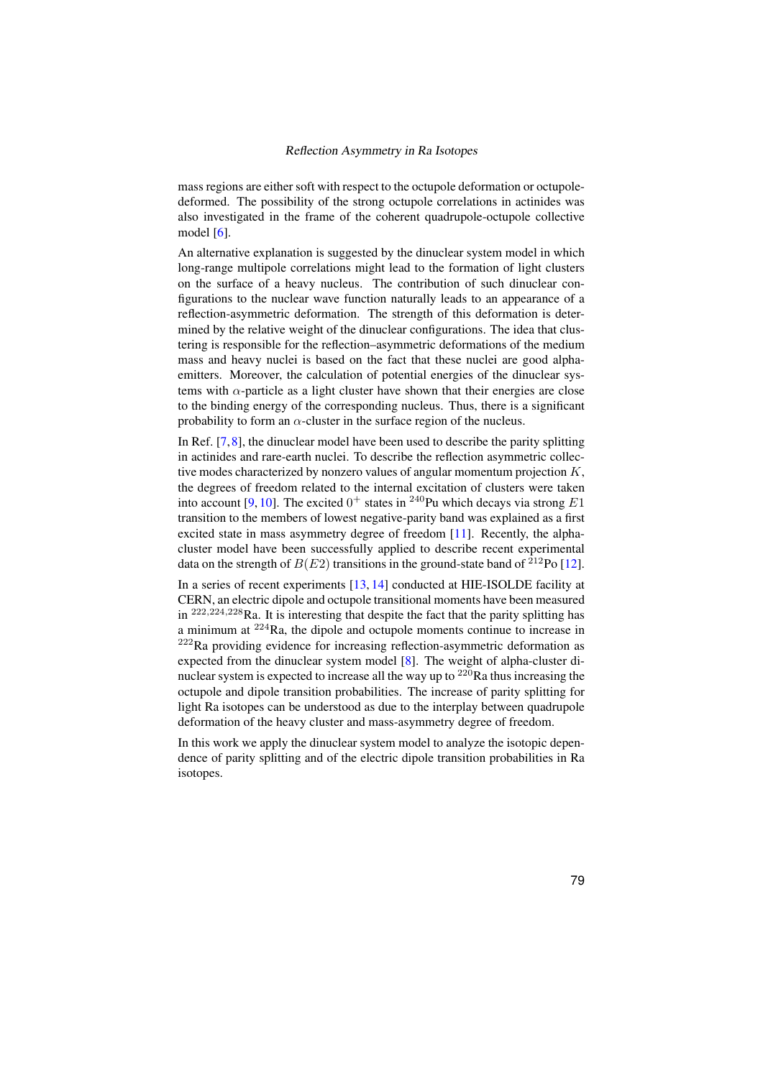mass regions are either soft with respect to the octupole deformation or octupoledeformed. The possibility of the strong octupole correlations in actinides was also investigated in the frame of the coherent quadrupole-octupole collective model [\[6\]](#page-9-5).

An alternative explanation is suggested by the dinuclear system model in which long-range multipole correlations might lead to the formation of light clusters on the surface of a heavy nucleus. The contribution of such dinuclear configurations to the nuclear wave function naturally leads to an appearance of a reflection-asymmetric deformation. The strength of this deformation is determined by the relative weight of the dinuclear configurations. The idea that clustering is responsible for the reflection–asymmetric deformations of the medium mass and heavy nuclei is based on the fact that these nuclei are good alphaemitters. Moreover, the calculation of potential energies of the dinuclear systems with  $\alpha$ -particle as a light cluster have shown that their energies are close to the binding energy of the corresponding nucleus. Thus, there is a significant probability to form an  $\alpha$ -cluster in the surface region of the nucleus.

In Ref. [\[7,](#page-9-6)[8\]](#page-9-7), the dinuclear model have been used to describe the parity splitting in actinides and rare-earth nuclei. To describe the reflection asymmetric collective modes characterized by nonzero values of angular momentum projection  $K$ , the degrees of freedom related to the internal excitation of clusters were taken into account [\[9,](#page-9-8) [10\]](#page-10-0). The excited  $0^+$  states in <sup>240</sup>Pu which decays via strong E1 transition to the members of lowest negative-parity band was explained as a first excited state in mass asymmetry degree of freedom [\[11\]](#page-10-1). Recently, the alphacluster model have been successfully applied to describe recent experimental data on the strength of  $B(E2)$  transitions in the ground-state band of <sup>212</sup>Po [\[12\]](#page-10-2).

In a series of recent experiments [\[13,](#page-10-3) [14\]](#page-10-4) conducted at HIE-ISOLDE facility at CERN, an electric dipole and octupole transitional moments have been measured in  $^{222,224,228}$ Ra. It is interesting that despite the fact that the parity splitting has a minimum at  $224$ Ra, the dipole and octupole moments continue to increase in  $222$ Ra providing evidence for increasing reflection-asymmetric deformation as expected from the dinuclear system model [\[8\]](#page-9-7). The weight of alpha-cluster dinuclear system is expected to increase all the way up to  $220$  Ra thus increasing the octupole and dipole transition probabilities. The increase of parity splitting for light Ra isotopes can be understood as due to the interplay between quadrupole deformation of the heavy cluster and mass-asymmetry degree of freedom.

In this work we apply the dinuclear system model to analyze the isotopic dependence of parity splitting and of the electric dipole transition probabilities in Ra isotopes.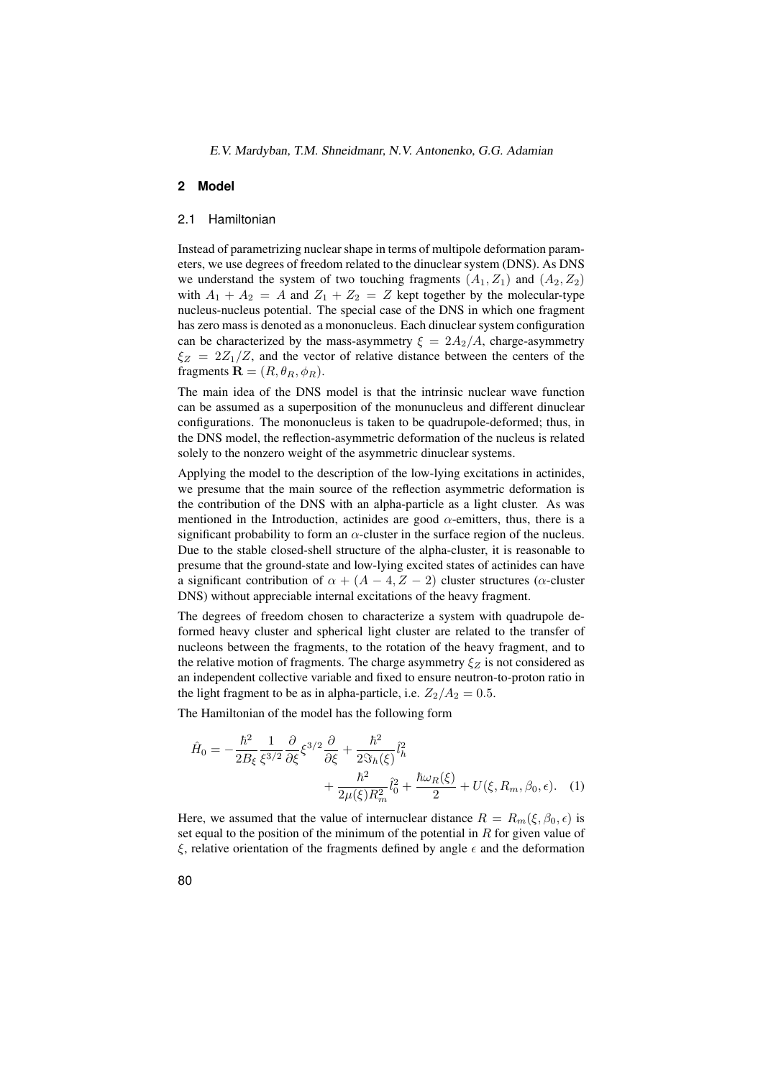### **2 Model**

## 2.1 Hamiltonian

Instead of parametrizing nuclear shape in terms of multipole deformation parameters, we use degrees of freedom related to the dinuclear system (DNS). As DNS we understand the system of two touching fragments  $(A_1, Z_1)$  and  $(A_2, Z_2)$ with  $A_1 + A_2 = A$  and  $Z_1 + Z_2 = Z$  kept together by the molecular-type nucleus-nucleus potential. The special case of the DNS in which one fragment has zero mass is denoted as a mononucleus. Each dinuclear system configuration can be characterized by the mass-asymmetry  $\xi = 2A_2/A$ , charge-asymmetry  $\xi_Z = 2Z_1/Z$ , and the vector of relative distance between the centers of the fragments  $\mathbf{R} = (R, \theta_R, \phi_R)$ .

The main idea of the DNS model is that the intrinsic nuclear wave function can be assumed as a superposition of the monunucleus and different dinuclear configurations. The mononucleus is taken to be quadrupole-deformed; thus, in the DNS model, the reflection-asymmetric deformation of the nucleus is related solely to the nonzero weight of the asymmetric dinuclear systems.

Applying the model to the description of the low-lying excitations in actinides, we presume that the main source of the reflection asymmetric deformation is the contribution of the DNS with an alpha-particle as a light cluster. As was mentioned in the Introduction, actinides are good  $\alpha$ -emitters, thus, there is a significant probability to form an  $\alpha$ -cluster in the surface region of the nucleus. Due to the stable closed-shell structure of the alpha-cluster, it is reasonable to presume that the ground-state and low-lying excited states of actinides can have a significant contribution of  $\alpha + (A - 4, Z - 2)$  cluster structures ( $\alpha$ -cluster DNS) without appreciable internal excitations of the heavy fragment.

The degrees of freedom chosen to characterize a system with quadrupole deformed heavy cluster and spherical light cluster are related to the transfer of nucleons between the fragments, to the rotation of the heavy fragment, and to the relative motion of fragments. The charge asymmetry  $\xi_Z$  is not considered as an independent collective variable and fixed to ensure neutron-to-proton ratio in the light fragment to be as in alpha-particle, i.e.  $Z_2/A_2 = 0.5$ .

The Hamiltonian of the model has the following form

<span id="page-2-0"></span>
$$
\hat{H}_0 = -\frac{\hbar^2}{2B_{\xi}} \frac{1}{\xi^{3/2}} \frac{\partial}{\partial \xi} \xi^{3/2} \frac{\partial}{\partial \xi} + \frac{\hbar^2}{2S_h(\xi)} \hat{l}_h^2 + \frac{\hbar^2}{2\mu(\xi)R_m^2} \hat{l}_0^2 + \frac{\hbar\omega_R(\xi)}{2} + U(\xi, R_m, \beta_0, \epsilon). \tag{1}
$$

Here, we assumed that the value of internuclear distance  $R = R_m(\xi, \beta_0, \epsilon)$  is set equal to the position of the minimum of the potential in  $R$  for given value of ξ, relative orientation of the fragments defined by angle  $\epsilon$  and the deformation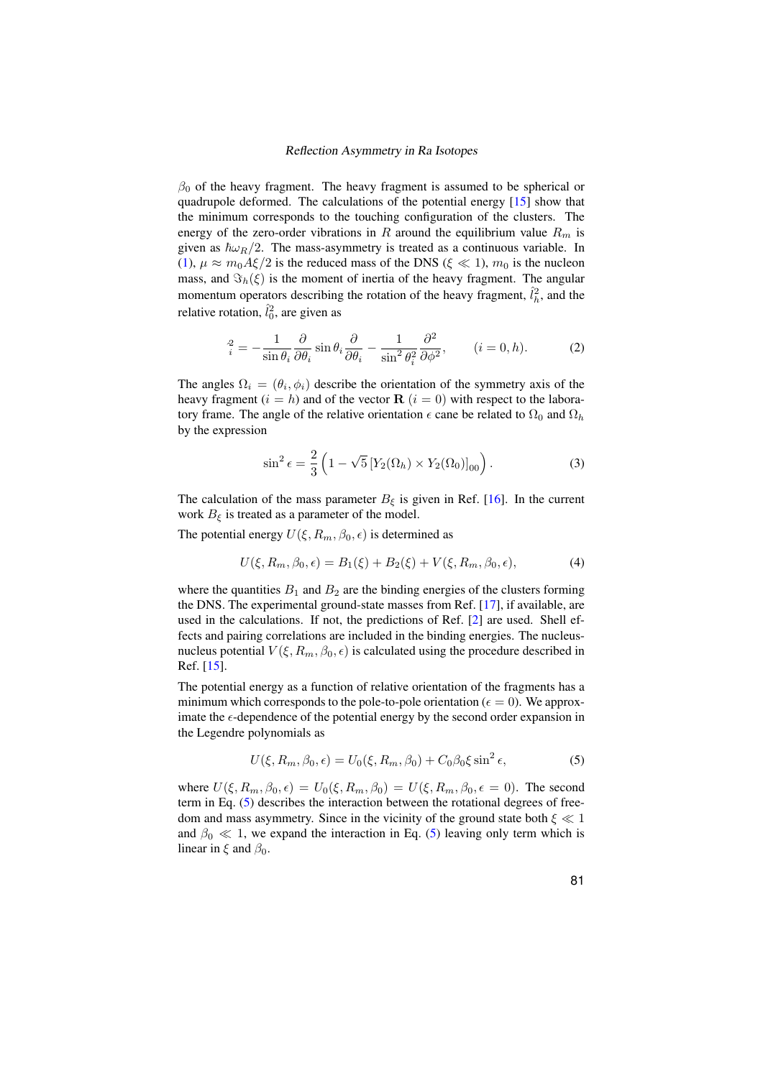$\beta_0$  of the heavy fragment. The heavy fragment is assumed to be spherical or quadrupole deformed. The calculations of the potential energy [\[15\]](#page-10-5) show that the minimum corresponds to the touching configuration of the clusters. The energy of the zero-order vibrations in R around the equilibrium value  $R_m$  is given as  $\hbar \omega_R/2$ . The mass-asymmetry is treated as a continuous variable. In [\(1\)](#page-2-0),  $\mu \approx m_0 A \xi / 2$  is the reduced mass of the DNS ( $\xi \ll 1$ ),  $m_0$  is the nucleon mass, and  $\Im_h(\xi)$  is the moment of inertia of the heavy fragment. The angular momentum operators describing the rotation of the heavy fragment,  $\hat{l}_h^2$ , and the relative rotation,  $\hat{l}_0^2$ , are given as

$$
\dot{f}_i^2 = -\frac{1}{\sin \theta_i} \frac{\partial}{\partial \theta_i} \sin \theta_i \frac{\partial}{\partial \theta_i} - \frac{1}{\sin^2 \theta_i^2} \frac{\partial^2}{\partial \phi^2}, \qquad (i = 0, h). \tag{2}
$$

The angles  $\Omega_i = (\theta_i, \phi_i)$  describe the orientation of the symmetry axis of the heavy fragment ( $i = h$ ) and of the vector  $\mathbf{R}$  ( $i = 0$ ) with respect to the laboratory frame. The angle of the relative orientation  $\epsilon$  cane be related to  $\Omega_0$  and  $\Omega_h$ by the expression

$$
\sin^2 \epsilon = \frac{2}{3} \left( 1 - \sqrt{5} \left[ Y_2(\Omega_h) \times Y_2(\Omega_0) \right]_{00} \right). \tag{3}
$$

The calculation of the mass parameter  $B_{\xi}$  is given in Ref. [\[16\]](#page-10-6). In the current work  $B_{\xi}$  is treated as a parameter of the model.

The potential energy  $U(\xi, R_m, \beta_0, \epsilon)$  is determined as

<span id="page-3-1"></span>
$$
U(\xi, R_m, \beta_0, \epsilon) = B_1(\xi) + B_2(\xi) + V(\xi, R_m, \beta_0, \epsilon),
$$
\n(4)

where the quantities  $B_1$  and  $B_2$  are the binding energies of the clusters forming the DNS. The experimental ground-state masses from Ref. [\[17\]](#page-10-7), if available, are used in the calculations. If not, the predictions of Ref. [\[2\]](#page-9-2) are used. Shell effects and pairing correlations are included in the binding energies. The nucleusnucleus potential  $V(\xi, R_m, \beta_0, \epsilon)$  is calculated using the procedure described in Ref. [\[15\]](#page-10-5).

The potential energy as a function of relative orientation of the fragments has a minimum which corresponds to the pole-to-pole orientation ( $\epsilon = 0$ ). We approximate the  $\epsilon$ -dependence of the potential energy by the second order expansion in the Legendre polynomials as

<span id="page-3-0"></span>
$$
U(\xi, R_m, \beta_0, \epsilon) = U_0(\xi, R_m, \beta_0) + C_0 \beta_0 \xi \sin^2 \epsilon,
$$
 (5)

where  $U(\xi, R_m, \beta_0, \epsilon) = U_0(\xi, R_m, \beta_0) = U(\xi, R_m, \beta_0, \epsilon = 0)$ . The second term in Eq. [\(5\)](#page-3-0) describes the interaction between the rotational degrees of freedom and mass asymmetry. Since in the vicinity of the ground state both  $\xi \ll 1$ and  $\beta_0 \ll 1$ , we expand the interaction in Eq. [\(5\)](#page-3-0) leaving only term which is linear in  $\xi$  and  $\beta_0$ .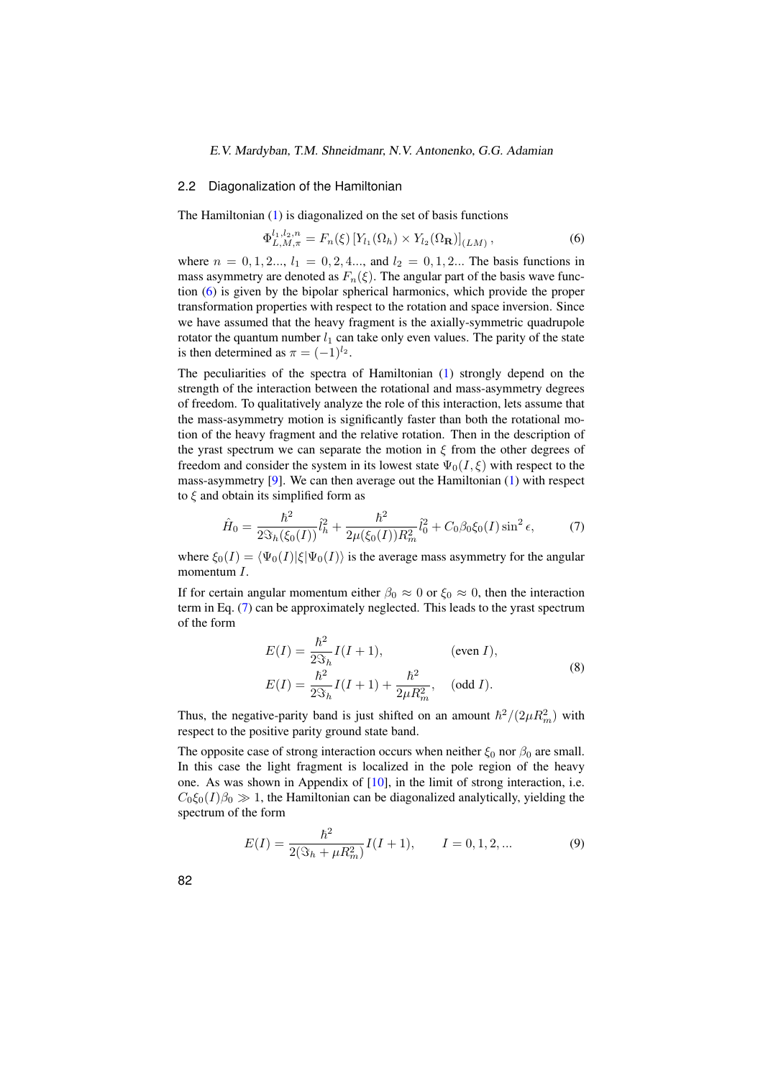#### E.V. Mardyban, T.M. Shneidmanr, N.V. Antonenko, G.G. Adamian

#### 2.2 Diagonalization of the Hamiltonian

The Hamiltonian [\(1\)](#page-2-0) is diagonalized on the set of basis functions

<span id="page-4-0"></span>
$$
\Phi_{L,M,\pi}^{l_1,l_2,n} = F_n(\xi) \left[ Y_{l_1}(\Omega_h) \times Y_{l_2}(\Omega_{\mathbf{R}}) \right]_{(LM)},
$$
\n(6)

where  $n = 0, 1, 2, ..., l_1 = 0, 2, 4, ...,$  and  $l_2 = 0, 1, 2, ...$  The basis functions in mass asymmetry are denoted as  $F_n(\xi)$ . The angular part of the basis wave function [\(6\)](#page-4-0) is given by the bipolar spherical harmonics, which provide the proper transformation properties with respect to the rotation and space inversion. Since we have assumed that the heavy fragment is the axially-symmetric quadrupole rotator the quantum number  $l_1$  can take only even values. The parity of the state is then determined as  $\pi = (-1)^{l_2}$ .

The peculiarities of the spectra of Hamiltonian [\(1\)](#page-2-0) strongly depend on the strength of the interaction between the rotational and mass-asymmetry degrees of freedom. To qualitatively analyze the role of this interaction, lets assume that the mass-asymmetry motion is significantly faster than both the rotational motion of the heavy fragment and the relative rotation. Then in the description of the yrast spectrum we can separate the motion in  $\xi$  from the other degrees of freedom and consider the system in its lowest state  $\Psi_0(I, \xi)$  with respect to the mass-asymmetry [\[9\]](#page-9-8). We can then average out the Hamiltonian [\(1\)](#page-2-0) with respect to  $\xi$  and obtain its simplified form as

<span id="page-4-1"></span>
$$
\hat{H}_0 = \frac{\hbar^2}{2\Im_h(\xi_0(I))}\hat{l}_h^2 + \frac{\hbar^2}{2\mu(\xi_0(I))R_m^2}\hat{l}_0^2 + C_0\beta_0\xi_0(I)\sin^2\epsilon,\tag{7}
$$

where  $\xi_0(I) = \langle \Psi_0(I)|\xi|\Psi_0(I)\rangle$  is the average mass asymmetry for the angular momentum I.

If for certain angular momentum either  $\beta_0 \approx 0$  or  $\xi_0 \approx 0$ , then the interaction term in Eq. [\(7\)](#page-4-1) can be approximately neglected. This leads to the yrast spectrum of the form

<span id="page-4-2"></span>
$$
E(I) = \frac{\hbar^2}{2S_h} I(I+1),
$$
 (even *I*),  
\n
$$
E(I) = \frac{\hbar^2}{2S_h} I(I+1) + \frac{\hbar^2}{2\mu R_m^2},
$$
 (odd *I*). (8)

Thus, the negative-parity band is just shifted on an amount  $\hbar^2/(2\mu R_m^2)$  with respect to the positive parity ground state band.

The opposite case of strong interaction occurs when neither  $\xi_0$  nor  $\beta_0$  are small. In this case the light fragment is localized in the pole region of the heavy one. As was shown in Appendix of  $[10]$ , in the limit of strong interaction, i.e.  $C_0 \xi_0(I) \beta_0 \gg 1$ , the Hamiltonian can be diagonalized analytically, yielding the spectrum of the form

<span id="page-4-3"></span>
$$
E(I) = \frac{\hbar^2}{2(\Im_h + \mu R_m^2)} I(I+1), \qquad I = 0, 1, 2, \dots
$$
 (9)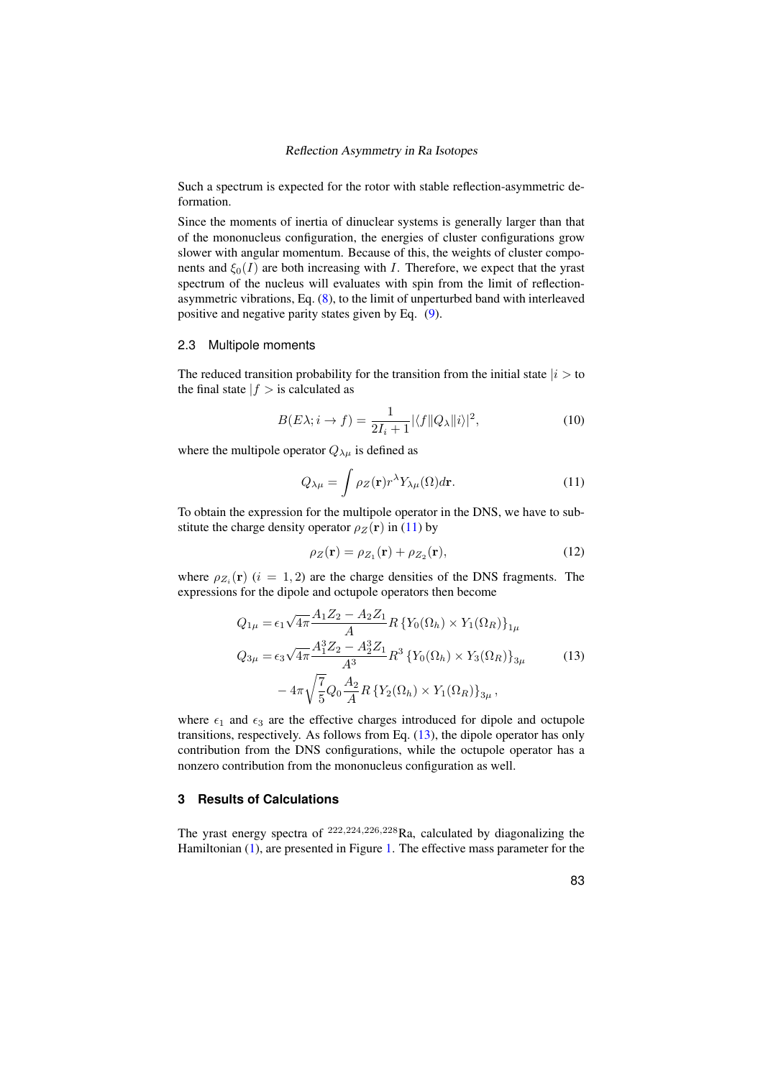Such a spectrum is expected for the rotor with stable reflection-asymmetric deformation.

Since the moments of inertia of dinuclear systems is generally larger than that of the mononucleus configuration, the energies of cluster configurations grow slower with angular momentum. Because of this, the weights of cluster components and  $\xi_0(I)$  are both increasing with I. Therefore, we expect that the yrast spectrum of the nucleus will evaluates with spin from the limit of reflectionasymmetric vibrations, Eq. [\(8\)](#page-4-2), to the limit of unperturbed band with interleaved positive and negative parity states given by Eq. [\(9\)](#page-4-3).

## 2.3 Multipole moments

The reduced transition probability for the transition from the initial state  $|i\rangle$  to the final state  $|f| >$  is calculated as

$$
B(E\lambda; i \to f) = \frac{1}{2I_i + 1} |\langle f || Q_\lambda || i \rangle|^2, \tag{10}
$$

where the multipole operator  $Q_{\lambda\mu}$  is defined as

<span id="page-5-0"></span>
$$
Q_{\lambda\mu} = \int \rho_Z(\mathbf{r}) r^{\lambda} Y_{\lambda\mu}(\Omega) d\mathbf{r}.
$$
 (11)

To obtain the expression for the multipole operator in the DNS, we have to substitute the charge density operator  $\rho_Z(\mathbf{r})$  in [\(11\)](#page-5-0) by

<span id="page-5-1"></span>
$$
\rho_Z(\mathbf{r}) = \rho_{Z_1}(\mathbf{r}) + \rho_{Z_2}(\mathbf{r}),\tag{12}
$$

where  $\rho_{Z_i}(\mathbf{r})$  ( $i = 1, 2$ ) are the charge densities of the DNS fragments. The expressions for the dipole and octupole operators then become

$$
Q_{1\mu} = \epsilon_1 \sqrt{4\pi} \frac{A_1 Z_2 - A_2 Z_1}{A} R \left\{ Y_0(\Omega_h) \times Y_1(\Omega_R) \right\}_{1\mu}
$$
  
\n
$$
Q_{3\mu} = \epsilon_3 \sqrt{4\pi} \frac{A_1^3 Z_2 - A_2^3 Z_1}{A^3} R^3 \left\{ Y_0(\Omega_h) \times Y_3(\Omega_R) \right\}_{3\mu}
$$
\n
$$
-4\pi \sqrt{\frac{7}{5}} Q_0 \frac{A_2}{A} R \left\{ Y_2(\Omega_h) \times Y_1(\Omega_R) \right\}_{3\mu},
$$
\n(13)

where  $\epsilon_1$  and  $\epsilon_3$  are the effective charges introduced for dipole and octupole transitions, respectively. As follows from Eq. [\(13\)](#page-5-1), the dipole operator has only contribution from the DNS configurations, while the octupole operator has a nonzero contribution from the mononucleus configuration as well.

## **3 Results of Calculations**

The yrast energy spectra of <sup>222</sup>,224,226,<sup>228</sup>Ra, calculated by diagonalizing the Hamiltonian [\(1\)](#page-2-0), are presented in Figure [1.](#page-6-0) The effective mass parameter for the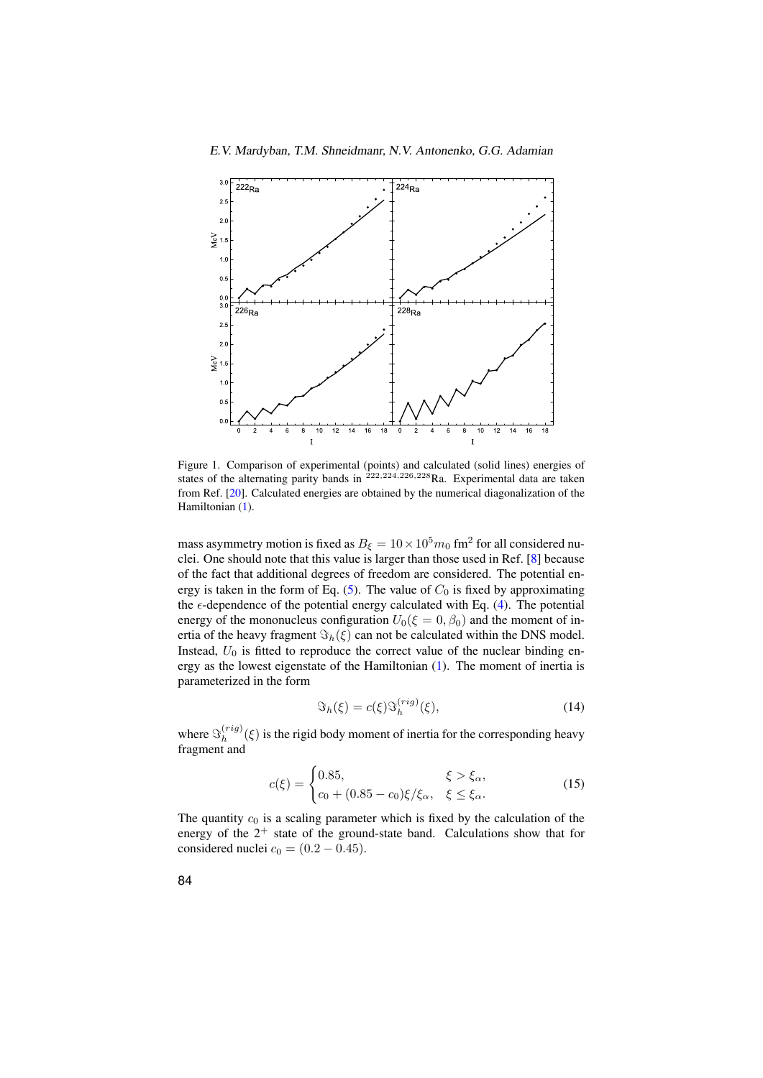

<span id="page-6-0"></span>Figure 1. Comparison of experimental (points) and calculated (solid lines) energies of states of the alternating parity bands in  $222,224,226,228$ Ra. Experimental data are taken from Ref. [\[20\]](#page-10-8). Calculated energies are obtained by the numerical diagonalization of the Hamiltonian [\(1\)](#page-2-0).

mass asymmetry motion is fixed as  $B_{\xi} = 10 \times 10^5 m_0$  fm<sup>2</sup> for all considered nuclei. One should note that this value is larger than those used in Ref. [\[8\]](#page-9-7) because of the fact that additional degrees of freedom are considered. The potential en-ergy is taken in the form of Eq. [\(5\)](#page-3-0). The value of  $C_0$  is fixed by approximating the  $\epsilon$ -dependence of the potential energy calculated with Eq. [\(4\)](#page-3-1). The potential energy of the mononucleus configuration  $U_0(\xi = 0, \beta_0)$  and the moment of inertia of the heavy fragment  $\Im_h(\xi)$  can not be calculated within the DNS model. Instead,  $U_0$  is fitted to reproduce the correct value of the nuclear binding energy as the lowest eigenstate of the Hamiltonian [\(1\)](#page-2-0). The moment of inertia is parameterized in the form

$$
\mathfrak{S}_h(\xi) = c(\xi) \mathfrak{S}_h^{(rig)}(\xi),\tag{14}
$$

where  $\Im_h^{(rig)}$  $h_h^{(reg)}(\xi)$  is the rigid body moment of inertia for the corresponding heavy fragment and

$$
c(\xi) = \begin{cases} 0.85, & \xi > \xi_{\alpha}, \\ c_0 + (0.85 - c_0)\xi/\xi_{\alpha}, & \xi \le \xi_{\alpha}. \end{cases}
$$
(15)

The quantity  $c_0$  is a scaling parameter which is fixed by the calculation of the energy of the  $2^+$  state of the ground-state band. Calculations show that for considered nuclei  $c_0 = (0.2 - 0.45)$ .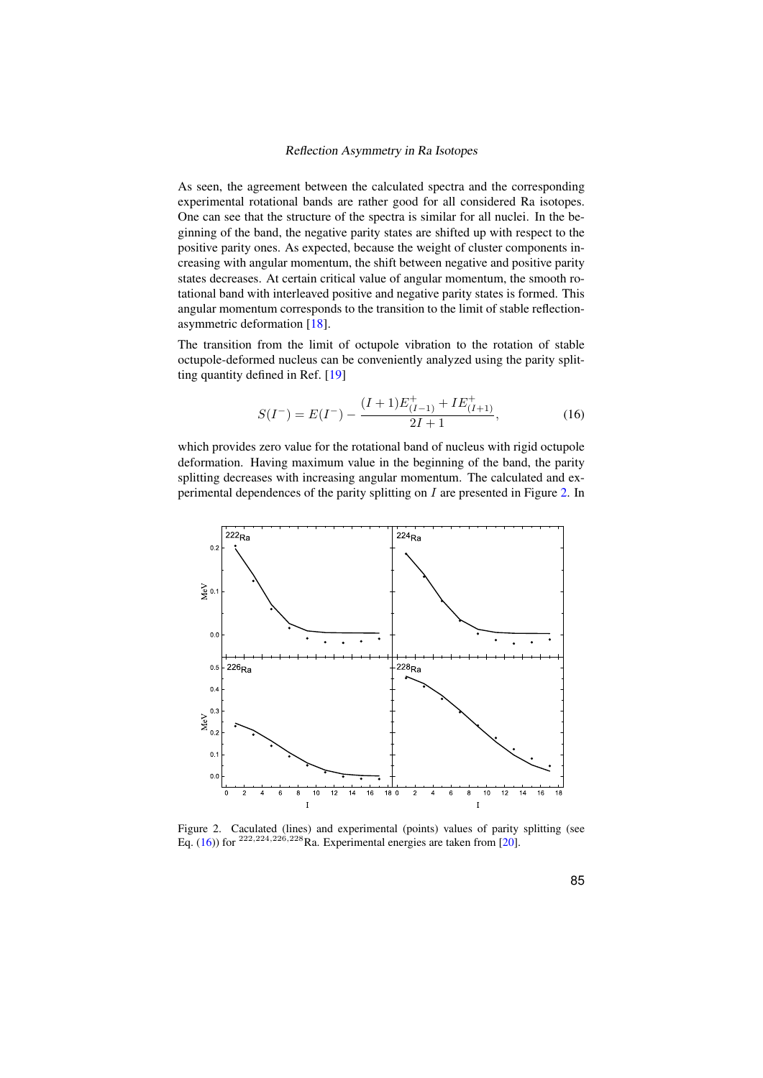As seen, the agreement between the calculated spectra and the corresponding experimental rotational bands are rather good for all considered Ra isotopes. One can see that the structure of the spectra is similar for all nuclei. In the beginning of the band, the negative parity states are shifted up with respect to the positive parity ones. As expected, because the weight of cluster components increasing with angular momentum, the shift between negative and positive parity states decreases. At certain critical value of angular momentum, the smooth rotational band with interleaved positive and negative parity states is formed. This angular momentum corresponds to the transition to the limit of stable reflectionasymmetric deformation [\[18\]](#page-10-9).

The transition from the limit of octupole vibration to the rotation of stable octupole-deformed nucleus can be conveniently analyzed using the parity splitting quantity defined in Ref. [\[19\]](#page-10-10)

<span id="page-7-1"></span>
$$
S(I^{-}) = E(I^{-}) - \frac{(I+1)E_{(I-1)}^{+} + IE_{(I+1)}^{+}}{2I+1},
$$
\n(16)

which provides zero value for the rotational band of nucleus with rigid octupole deformation. Having maximum value in the beginning of the band, the parity splitting decreases with increasing angular momentum. The calculated and experimental dependences of the parity splitting on I are presented in Figure [2.](#page-7-0) In



<span id="page-7-0"></span>Figure 2. Caculated (lines) and experimental (points) values of parity splitting (see Eq. [\(16\)](#page-7-1)) for  $^{222,224,226,228}$ Ra. Experimental energies are taken from [\[20\]](#page-10-8).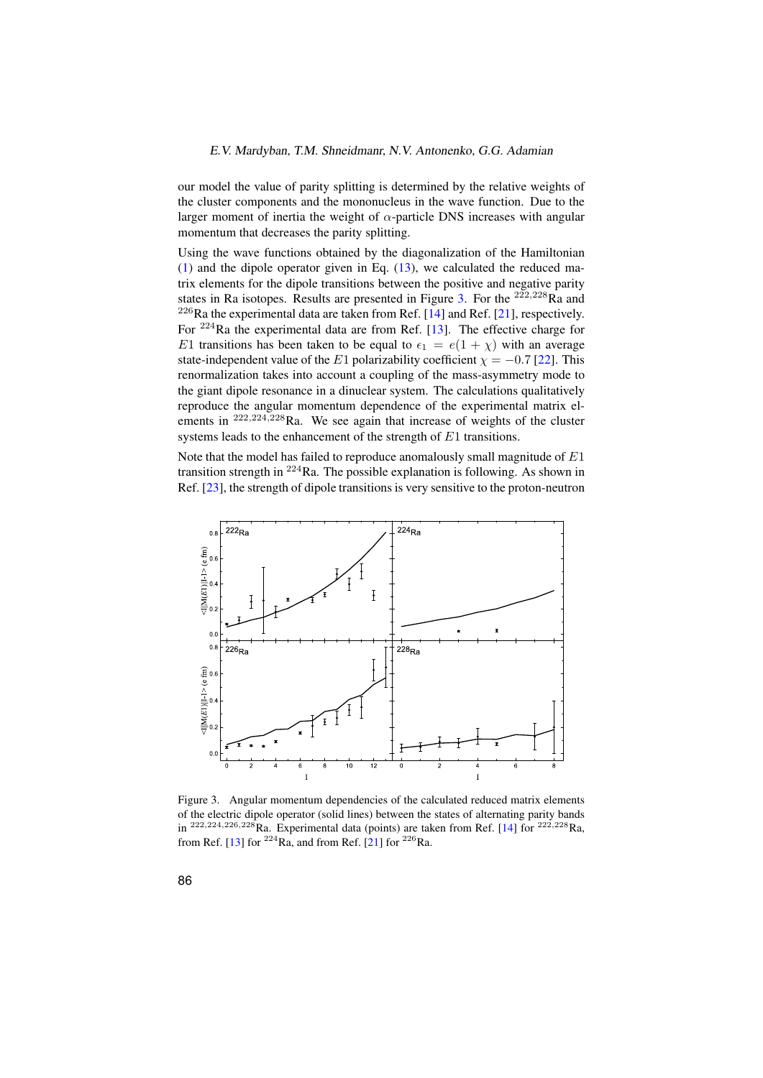our model the value of parity splitting is determined by the relative weights of the cluster components and the mononucleus in the wave function. Due to the larger moment of inertia the weight of  $\alpha$ -particle DNS increases with angular momentum that decreases the parity splitting.

Using the wave functions obtained by the diagonalization of the Hamiltonian  $(1)$  and the dipole operator given in Eq.  $(13)$ , we calculated the reduced matrix elements for the dipole transitions between the positive and negative parity states in Ra isotopes. Results are presented in Figure [3.](#page-8-0) For the  $222,228$ Ra and  $226$ Ra the experimental data are taken from Ref. [\[14\]](#page-10-4) and Ref. [\[21\]](#page-10-11), respectively. For <sup>224</sup>Ra the experimental data are from Ref. [\[13\]](#page-10-3). The effective charge for E1 transitions has been taken to be equal to  $\epsilon_1 = e(1 + \chi)$  with an average state-independent value of the E1 polarizability coefficient  $\chi = -0.7$  [\[22\]](#page-10-12). This renormalization takes into account a coupling of the mass-asymmetry mode to the giant dipole resonance in a dinuclear system. The calculations qualitatively reproduce the angular momentum dependence of the experimental matrix elements in <sup>222,224,228</sup>Ra. We see again that increase of weights of the cluster systems leads to the enhancement of the strength of  $E1$  transitions.

Note that the model has failed to reproduce anomalously small magnitude of  $E1$ transition strength in  $224$ Ra. The possible explanation is following. As shown in Ref. [\[23\]](#page-10-13), the strength of dipole transitions is very sensitive to the proton-neutron



<span id="page-8-0"></span>Figure 3. Angular momentum dependencies of the calculated reduced matrix elements of the electric dipole operator (solid lines) between the states of alternating parity bands in <sup>222,224,226,228</sup>Ra. Experimental data (points) are taken from Ref. [\[14\]](#page-10-4) for <sup>222,228</sup>Ra, from Ref. [\[13\]](#page-10-3) for  $^{224}$ Ra, and from Ref. [\[21\]](#page-10-11) for  $^{226}$ Ra.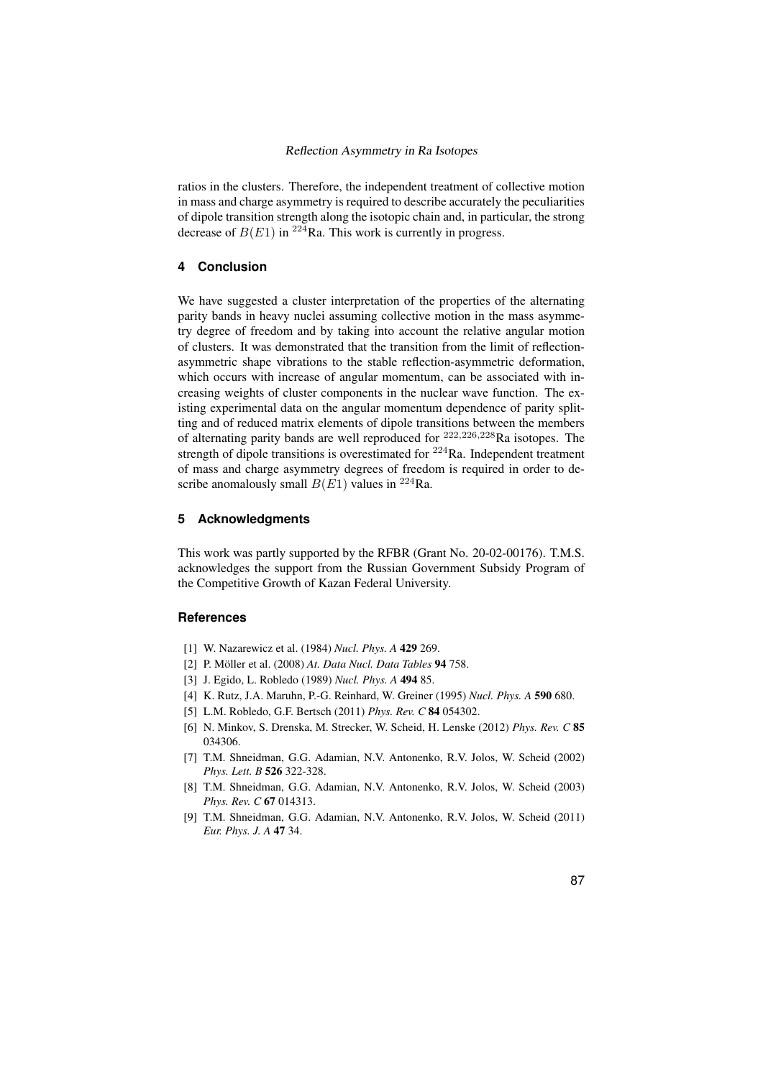ratios in the clusters. Therefore, the independent treatment of collective motion in mass and charge asymmetry is required to describe accurately the peculiarities of dipole transition strength along the isotopic chain and, in particular, the strong decrease of  $B(E1)$  in <sup>224</sup>Ra. This work is currently in progress.

# **4 Conclusion**

We have suggested a cluster interpretation of the properties of the alternating parity bands in heavy nuclei assuming collective motion in the mass asymmetry degree of freedom and by taking into account the relative angular motion of clusters. It was demonstrated that the transition from the limit of reflectionasymmetric shape vibrations to the stable reflection-asymmetric deformation, which occurs with increase of angular momentum, can be associated with increasing weights of cluster components in the nuclear wave function. The existing experimental data on the angular momentum dependence of parity splitting and of reduced matrix elements of dipole transitions between the members of alternating parity bands are well reproduced for  $222,226,228$ Ra isotopes. The strength of dipole transitions is overestimated for  $224$ Ra. Independent treatment of mass and charge asymmetry degrees of freedom is required in order to describe anomalously small  $B(E1)$  values in <sup>224</sup>Ra.

# **5 Acknowledgments**

This work was partly supported by the RFBR (Grant No. 20-02-00176). T.M.S. acknowledges the support from the Russian Government Subsidy Program of the Competitive Growth of Kazan Federal University.

## <span id="page-9-0"></span>**References**

- <span id="page-9-1"></span>[1] W. Nazarewicz et al. (1984) *Nucl. Phys. A* 429 269.
- <span id="page-9-2"></span>[2] P. Möller et al. (2008) *At. Data Nucl. Data Tables* 94 758.
- <span id="page-9-3"></span>[3] J. Egido, L. Robledo (1989) *Nucl. Phys. A* 494 85.
- [4] K. Rutz, J.A. Maruhn, P.-G. Reinhard, W. Greiner (1995) *Nucl. Phys. A* 590 680.
- <span id="page-9-4"></span>[5] L.M. Robledo, G.F. Bertsch (2011) *Phys. Rev. C* 84 054302.
- <span id="page-9-5"></span>[6] N. Minkov, S. Drenska, M. Strecker, W. Scheid, H. Lenske (2012) *Phys. Rev. C* 85 034306.
- <span id="page-9-6"></span>[7] T.M. Shneidman, G.G. Adamian, N.V. Antonenko, R.V. Jolos, W. Scheid (2002) *Phys. Lett. B* 526 322-328.
- <span id="page-9-7"></span>[8] T.M. Shneidman, G.G. Adamian, N.V. Antonenko, R.V. Jolos, W. Scheid (2003) *Phys. Rev. C* 67 014313.
- <span id="page-9-8"></span>[9] T.M. Shneidman, G.G. Adamian, N.V. Antonenko, R.V. Jolos, W. Scheid (2011) *Eur. Phys. J. A* 47 34.